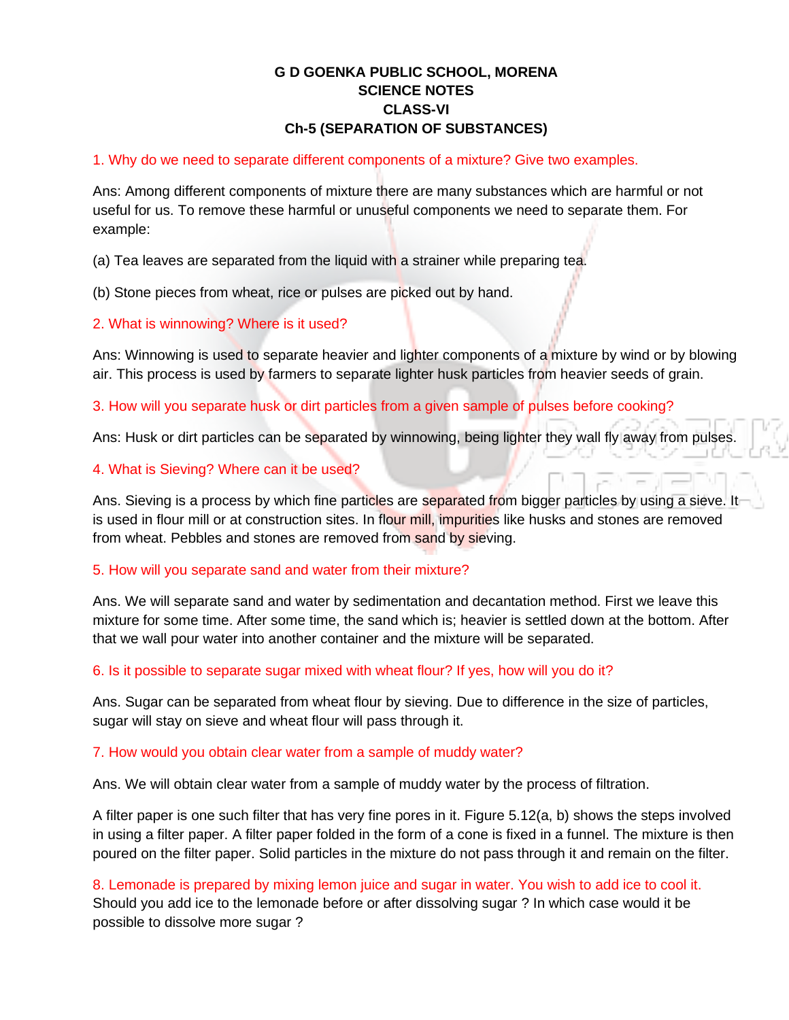# **G D GOENKA PUBLIC SCHOOL, MORENA SCIENCE NOTES CLASS-VI Ch-5 (SEPARATION OF SUBSTANCES)**

## 1. Why do we need to separate different components of a mixture? Give two examples.

Ans: Among different components of mixture there are many substances which are harmful or not useful for us. To remove these harmful or unuseful components we need to separate them. For example:

(a) Tea leaves are separated from the liquid with a strainer while preparing tea.

(b) Stone pieces from wheat, rice or pulses are picked out by hand.

### 2. What is winnowing? Where is it used?

Ans: Winnowing is used to separate heavier and lighter components of a mixture by wind or by blowing air. This process is used by farmers to separate lighter husk particles from heavier seeds of grain.

3. How will you separate husk or dirt particles from a given sample of pulses before cooking?

Ans: Husk or dirt particles can be separated by winnowing, being lighter they wall fly away from pulses.

#### 4. What is Sieving? Where can it be used?

Ans. Sieving is a process by which fine particles are separated from bigger particles by using a sieve. It is used in flour mill or at construction sites. In flour mill, impurities like husks and stones are removed from wheat. Pebbles and stones are removed from sand by sieving.

#### 5. How will you separate sand and water from their mixture?

Ans. We will separate sand and water by sedimentation and decantation method. First we leave this mixture for some time. After some time, the sand which is; heavier is settled down at the bottom. After that we wall pour water into another container and the mixture will be separated.

## 6. Is it possible to separate sugar mixed with wheat flour? If yes, how will you do it?

Ans. Sugar can be separated from wheat flour by sieving. Due to difference in the size of particles, sugar will stay on sieve and wheat flour will pass through it.

#### 7. How would you obtain clear water from a sample of muddy water?

Ans. We will obtain clear water from a sample of muddy water by the process of filtration.

A filter paper is one such filter that has very fine pores in it. Figure 5.12(a, b) shows the steps involved in using a filter paper. A filter paper folded in the form of a cone is fixed in a funnel. The mixture is then poured on the filter paper. Solid particles in the mixture do not pass through it and remain on the filter.

8. Lemonade is prepared by mixing lemon juice and sugar in water. You wish to add ice to cool it. Should you add ice to the lemonade before or after dissolving sugar ? In which case would it be possible to dissolve more sugar ?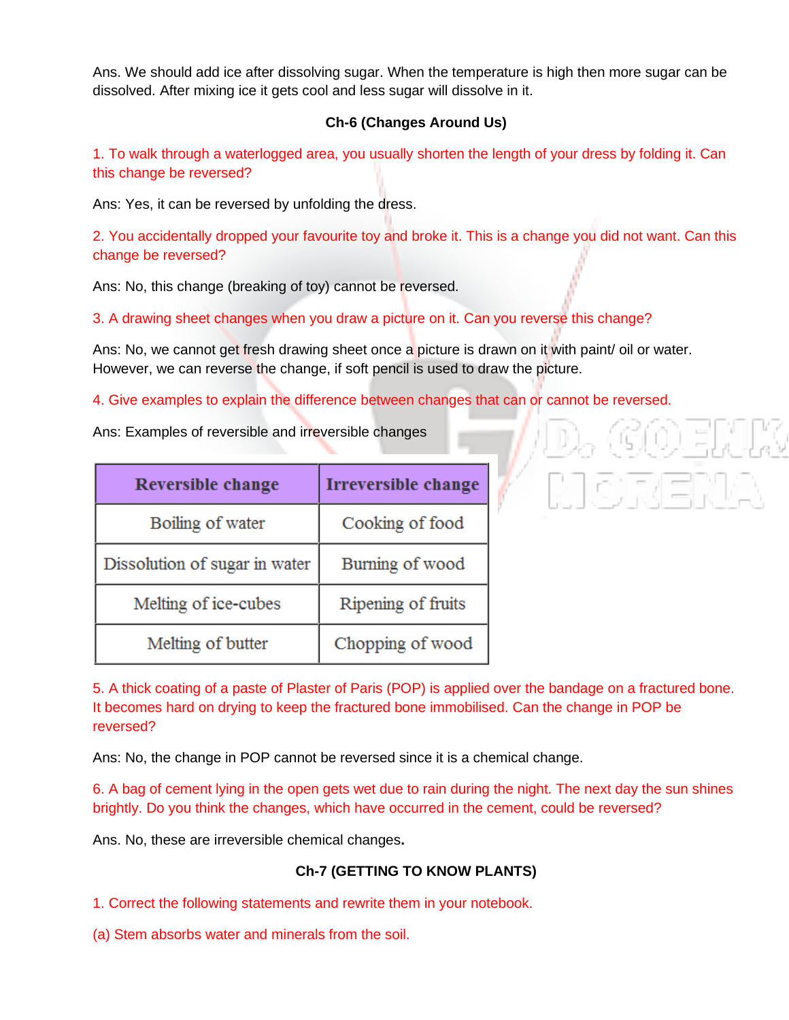Ans. We should add ice after dissolving sugar. When the temperature is high then more sugar can be dissolved. After mixing ice it gets cool and less sugar will dissolve in it.

## **Ch-6 (Changes Around Us)**

1. To walk through a waterlogged area, you usually shorten the length of your dress by folding it. Can this change be reversed?

Ans: Yes, it can be reversed by unfolding the dress.

2. You accidentally dropped your favourite toy and broke it. This is a change you did not want. Can this change be reversed?

Ans: No, this change (breaking of toy) cannot be reversed.

3. A drawing sheet changes when you draw a picture on it. Can you reverse this change?

Ans: No, we cannot get fresh drawing sheet once a picture is drawn on it with paint/ oil or water. However, we can reverse the change, if soft pencil is used to draw the picture.

4. Give examples to explain the difference between changes that can or cannot be reversed.

Ans: Examples of reversible and irreversible changes

| <b>Reversible change</b>      | <b>Irreversible change</b> |
|-------------------------------|----------------------------|
| Boiling of water              | Cooking of food            |
| Dissolution of sugar in water | Burning of wood            |
| Melting of ice-cubes          | Ripening of fruits         |
| Melting of butter             | Chopping of wood           |

5. A thick coating of a paste of Plaster of Paris (POP) is applied over the bandage on a fractured bone. It becomes hard on drying to keep the fractured bone immobilised. Can the change in POP be reversed?

Ans: No, the change in POP cannot be reversed since it is a chemical change.

6. A bag of cement lying in the open gets wet due to rain during the night. The next day the sun shines brightly. Do you think the changes, which have occurred in the cement, could be reversed?

Ans. No, these are irreversible chemical changes**.**

# **Ch-7 (GETTING TO KNOW PLANTS)**

1. Correct the following statements and rewrite them in your notebook.

(a) Stem absorbs water and minerals from the soil.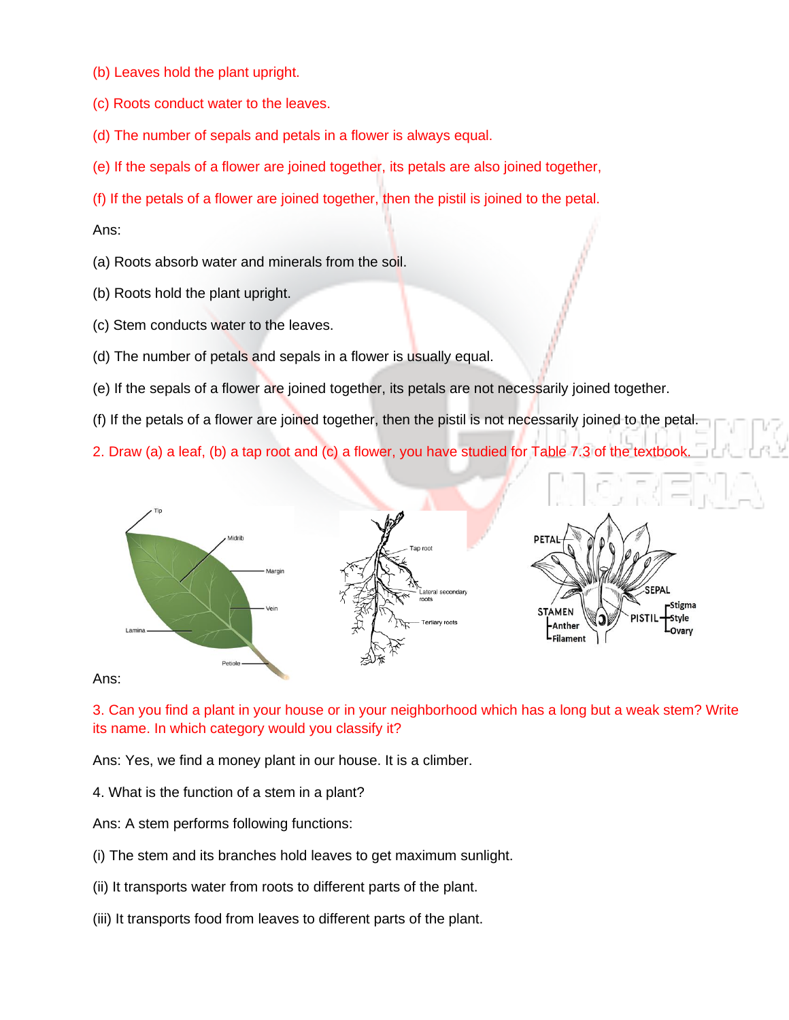- (b) Leaves hold the plant upright.
- (c) Roots conduct water to the leaves.
- (d) The number of sepals and petals in a flower is always equal.
- (e) If the sepals of a flower are joined together, its petals are also joined together,
- (f) If the petals of a flower are joined together, then the pistil is joined to the petal.

#### Ans:

- (a) Roots absorb water and minerals from the soil.
- (b) Roots hold the plant upright.
- (c) Stem conducts water to the leaves.
- (d) The number of petals and sepals in a flower is usually equal.
- (e) If the sepals of a flower are joined together, its petals are not necessarily joined together.
- (f) If the petals of a flower are joined together, then the pistil is not necessarily joined to the petal.

2. Draw (a) a leaf, (b) a tap root and (c) a flower, you have studied for Table 7.3 of the textbook.



Ans:

3. Can you find a plant in your house or in your neighborhood which has a long but a weak stem? Write its name. In which category would you classify it?

Ans: Yes, we find a money plant in our house. It is a climber.

4. What is the function of a stem in a plant?

Ans: A stem performs following functions:

- (i) The stem and its branches hold leaves to get maximum sunlight.
- (ii) It transports water from roots to different parts of the plant.
- (iii) It transports food from leaves to different parts of the plant.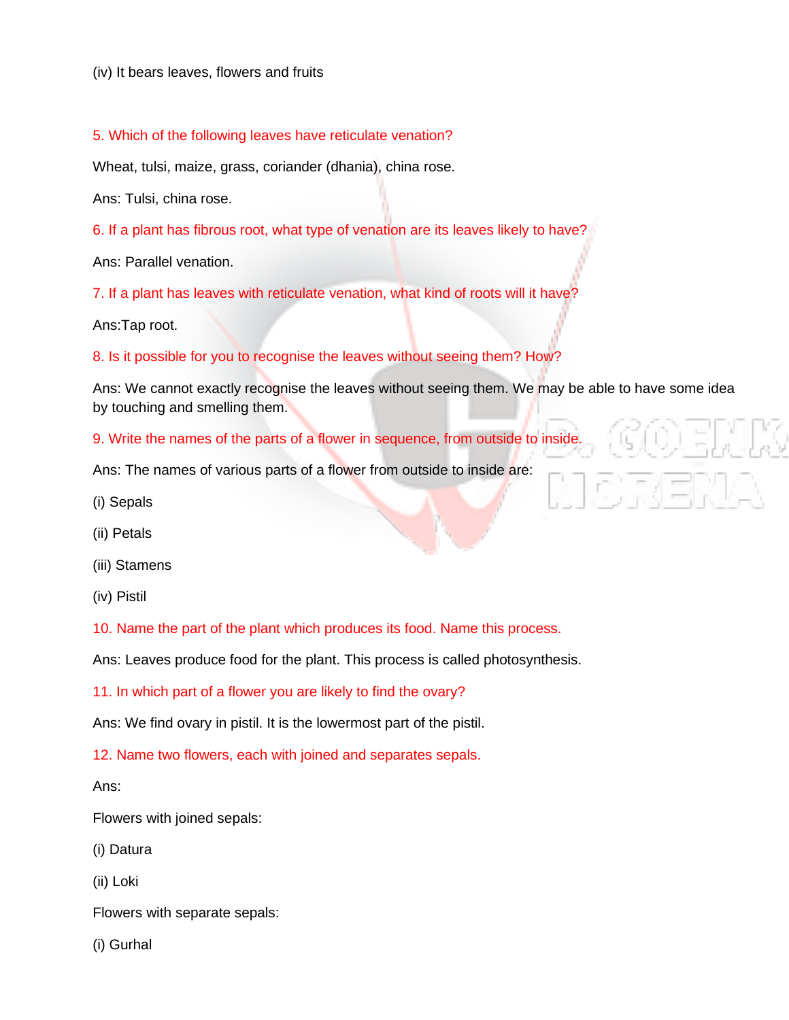(iv) It bears leaves, flowers and fruits

5. Which of the following leaves have reticulate venation?

Wheat, tulsi, maize, grass, coriander (dhania), china rose.

Ans: Tulsi, china rose.

6. If a plant has fibrous root, what type of venation are its leaves likely to have?

Ans: Parallel venation.

7. If a plant has leaves with reticulate venation, what kind of roots will it have?

Ans:Tap root.

8. Is it possible for you to recognise the leaves without seeing them? How?

Ans: We cannot exactly recognise the leaves without seeing them. We may be able to have some idea by touching and smelling them.

9. Write the names of the parts of a flower in sequence, from outside to inside.

Ans: The names of various parts of a flower from outside to inside are:

- (i) Sepals
- (ii) Petals
- (iii) Stamens
- (iv) Pistil

10. Name the part of the plant which produces its food. Name this process.

Ans: Leaves produce food for the plant. This process is called photosynthesis.

11. In which part of a flower you are likely to find the ovary?

Ans: We find ovary in pistil. It is the lowermost part of the pistil.

12. Name two flowers, each with joined and separates sepals.

Ans:

Flowers with joined sepals:

(i) Datura

(ii) Loki

Flowers with separate sepals:

(i) Gurhal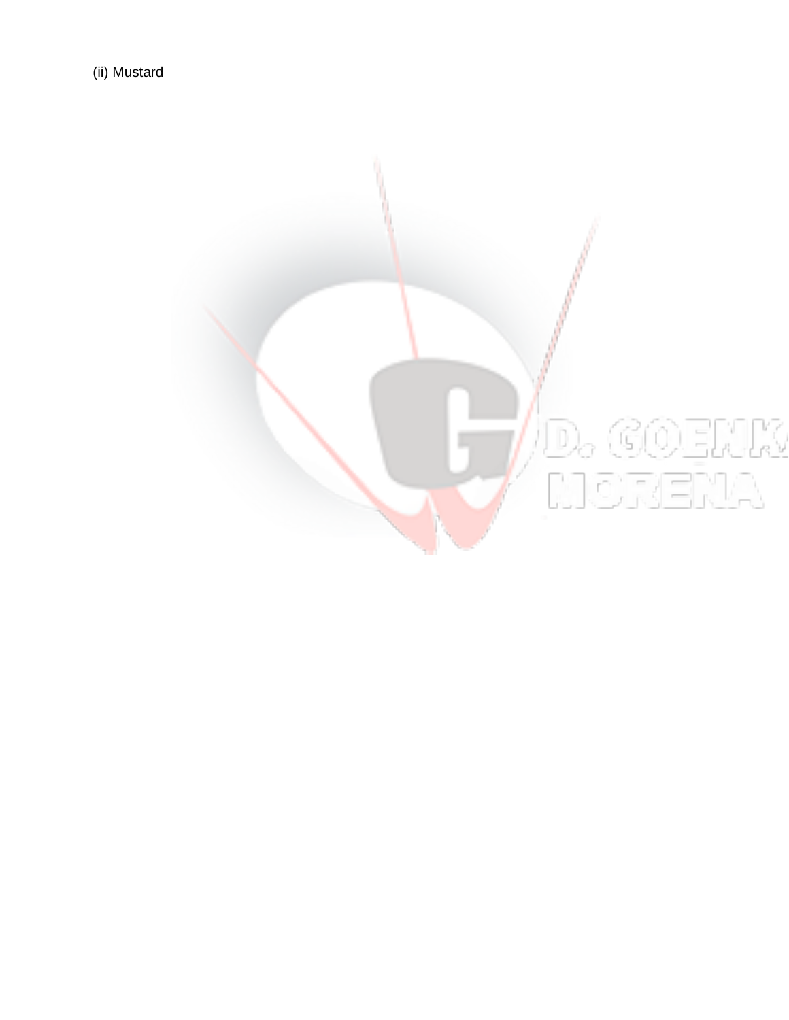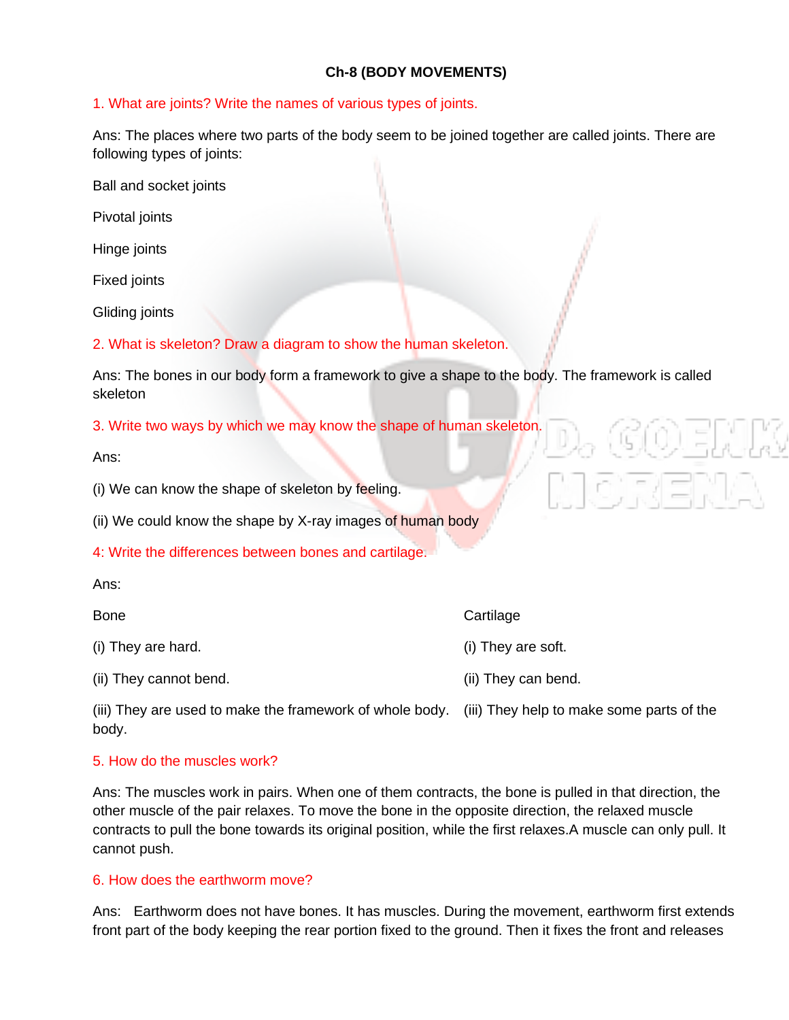# **Ch-8 (BODY MOVEMENTS)**

## 1. What are joints? Write the names of various types of joints.

Ans: The places where two parts of the body seem to be joined together are called joints. There are following types of joints:

Ball and socket joints

Pivotal joints

Hinge joints

Fixed joints

Gliding joints

2. What is skeleton? Draw a diagram to show the human skeleton.

Ans: The bones in our body form a framework to give a shape to the body. The framework is called skeleton

3. Write two ways by which we may know the shape of human skeleton.

Ans:

(i) We can know the shape of skeleton by feeling.

(ii) We could know the shape by X-ray images of human body

4: Write the differences between bones and cartilage.

|  | v |  |
|--|---|--|
|  |   |  |

| Bone                   | Cartilage           |
|------------------------|---------------------|
| (i) They are hard.     | (i) They are soft.  |
| (ii) They cannot bend. | (ii) They can bend. |

(iii) They are used to make the framework of whole body. (iii) They help to make some parts of the body.

## 5. How do the muscles work?

Ans: The muscles work in pairs. When one of them contracts, the bone is pulled in that direction, the other muscle of the pair relaxes. To move the bone in the opposite direction, the relaxed muscle contracts to pull the bone towards its original position, while the first relaxes.A muscle can only pull. It cannot push.

## 6. How does the earthworm move?

Ans: Earthworm does not have bones. It has muscles. During the movement, earthworm first extends front part of the body keeping the rear portion fixed to the ground. Then it fixes the front and releases